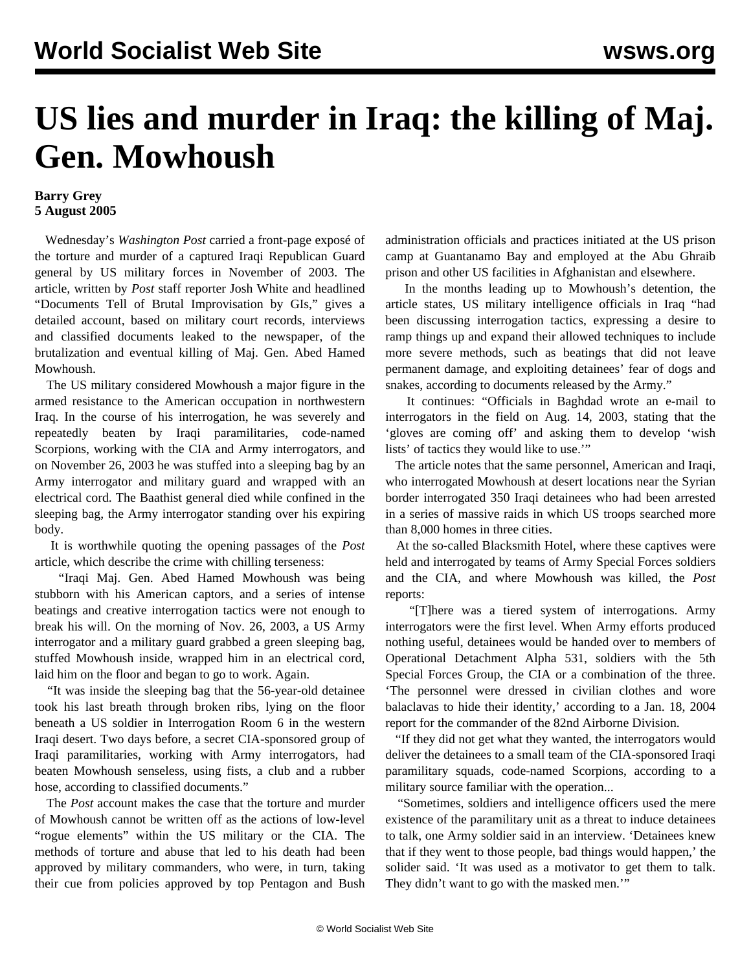## **US lies and murder in Iraq: the killing of Maj. Gen. Mowhoush**

## **Barry Grey 5 August 2005**

 Wednesday's *Washington Post* carried a front-page exposé of the torture and murder of a captured Iraqi Republican Guard general by US military forces in November of 2003. The article, written by *Post* staff reporter Josh White and headlined "Documents Tell of Brutal Improvisation by GIs," gives a detailed account, based on military court records, interviews and classified documents leaked to the newspaper, of the brutalization and eventual killing of Maj. Gen. Abed Hamed Mowhoush.

 The US military considered Mowhoush a major figure in the armed resistance to the American occupation in northwestern Iraq. In the course of his interrogation, he was severely and repeatedly beaten by Iraqi paramilitaries, code-named Scorpions, working with the CIA and Army interrogators, and on November 26, 2003 he was stuffed into a sleeping bag by an Army interrogator and military guard and wrapped with an electrical cord. The Baathist general died while confined in the sleeping bag, the Army interrogator standing over his expiring body.

 It is worthwhile quoting the opening passages of the *Post* article, which describe the crime with chilling terseness:

 "Iraqi Maj. Gen. Abed Hamed Mowhoush was being stubborn with his American captors, and a series of intense beatings and creative interrogation tactics were not enough to break his will. On the morning of Nov. 26, 2003, a US Army interrogator and a military guard grabbed a green sleeping bag, stuffed Mowhoush inside, wrapped him in an electrical cord, laid him on the floor and began to go to work. Again.

 "It was inside the sleeping bag that the 56-year-old detainee took his last breath through broken ribs, lying on the floor beneath a US soldier in Interrogation Room 6 in the western Iraqi desert. Two days before, a secret CIA-sponsored group of Iraqi paramilitaries, working with Army interrogators, had beaten Mowhoush senseless, using fists, a club and a rubber hose, according to classified documents."

 The *Post* account makes the case that the torture and murder of Mowhoush cannot be written off as the actions of low-level "rogue elements" within the US military or the CIA. The methods of torture and abuse that led to his death had been approved by military commanders, who were, in turn, taking their cue from policies approved by top Pentagon and Bush administration officials and practices initiated at the US prison camp at Guantanamo Bay and employed at the Abu Ghraib prison and other US facilities in Afghanistan and elsewhere.

 In the months leading up to Mowhoush's detention, the article states, US military intelligence officials in Iraq "had been discussing interrogation tactics, expressing a desire to ramp things up and expand their allowed techniques to include more severe methods, such as beatings that did not leave permanent damage, and exploiting detainees' fear of dogs and snakes, according to documents released by the Army."

 It continues: "Officials in Baghdad wrote an e-mail to interrogators in the field on Aug. 14, 2003, stating that the 'gloves are coming off' and asking them to develop 'wish lists' of tactics they would like to use.'"

 The article notes that the same personnel, American and Iraqi, who interrogated Mowhoush at desert locations near the Syrian border interrogated 350 Iraqi detainees who had been arrested in a series of massive raids in which US troops searched more than 8,000 homes in three cities.

 At the so-called Blacksmith Hotel, where these captives were held and interrogated by teams of Army Special Forces soldiers and the CIA, and where Mowhoush was killed, the *Post* reports:

 "[T]here was a tiered system of interrogations. Army interrogators were the first level. When Army efforts produced nothing useful, detainees would be handed over to members of Operational Detachment Alpha 531, soldiers with the 5th Special Forces Group, the CIA or a combination of the three. 'The personnel were dressed in civilian clothes and wore balaclavas to hide their identity,' according to a Jan. 18, 2004 report for the commander of the 82nd Airborne Division.

 "If they did not get what they wanted, the interrogators would deliver the detainees to a small team of the CIA-sponsored Iraqi paramilitary squads, code-named Scorpions, according to a military source familiar with the operation...

 "Sometimes, soldiers and intelligence officers used the mere existence of the paramilitary unit as a threat to induce detainees to talk, one Army soldier said in an interview. 'Detainees knew that if they went to those people, bad things would happen,' the solider said. 'It was used as a motivator to get them to talk. They didn't want to go with the masked men.'"